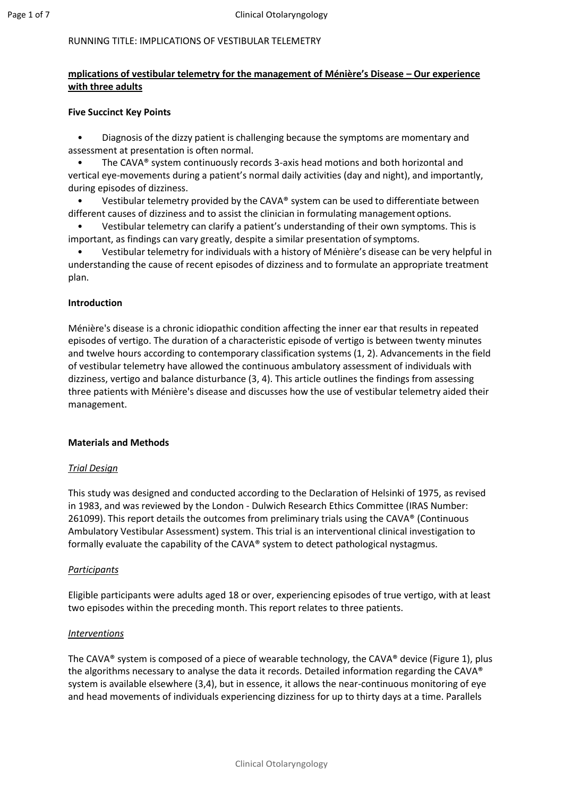# **mplications of vestibular telemetry for the management of Ménière's Disease – Our experience with three adults**

#### **Five Succinct Key Points**

• Diagnosis of the dizzy patient is challenging because the symptoms are momentary and assessment at presentation is often normal.

The CAVA® system continuously records 3-axis head motions and both horizontal and vertical eye-movements during a patient's normal daily activities (day and night), and importantly, during episodes of dizziness.

• Vestibular telemetry provided by the CAVA® system can be used to differentiate between different causes of dizziness and to assist the clinician in formulating management options.

• Vestibular telemetry can clarify a patient's understanding of their own symptoms. This is important, as findings can vary greatly, despite a similar presentation ofsymptoms.

• Vestibular telemetry for individuals with a history of Ménière's disease can be very helpful in understanding the cause of recent episodes of dizziness and to formulate an appropriate treatment plan.

#### **Introduction**

Ménière's disease is a chronic idiopathic condition affecting the inner ear that results in repeated episodes of vertigo. The duration of a characteristic episode of vertigo is between twenty minutes and twelve hours according to contemporary classification systems (1, 2). Advancements in the field of vestibular telemetry have allowed the continuous ambulatory assessment of individuals with dizziness, vertigo and balance disturbance (3, 4). This article outlines the findings from assessing three patients with Ménière's disease and discusses how the use of vestibular telemetry aided their management.

#### **Materials and Methods**

#### *Trial Design*

This study was designed and conducted according to the Declaration of Helsinki of 1975, as revised in 1983, and was reviewed by the London - Dulwich Research Ethics Committee (IRAS Number: 261099). This report details the outcomes from preliminary trials using the CAVA® (Continuous Ambulatory Vestibular Assessment) system. This trial is an interventional clinical investigation to formally evaluate the capability of the CAVA® system to detect pathological nystagmus.

#### *Participants*

Eligible participants were adults aged 18 or over, experiencing episodes of true vertigo, with at least two episodes within the preceding month. This report relates to three patients.

#### *Interventions*

The CAVA® system is composed of a piece of wearable technology, the CAVA® device (Figure 1), plus the algorithms necessary to analyse the data it records. Detailed information regarding the CAVA® system is available elsewhere (3,4), but in essence, it allows the near-continuous monitoring of eye and head movements of individuals experiencing dizziness for up to thirty days at a time. Parallels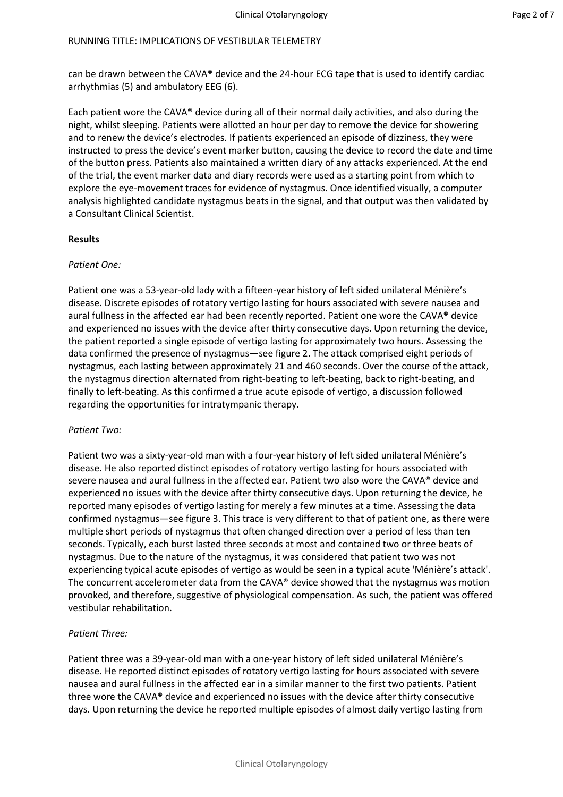can be drawn between the CAVA® device and the 24-hour ECG tape that is used to identify cardiac arrhythmias (5) and ambulatory EEG (6).

Each patient wore the CAVA® device during all of their normal daily activities, and also during the night, whilst sleeping. Patients were allotted an hour per day to remove the device for showering and to renew the device's electrodes. If patients experienced an episode of dizziness, they were instructed to press the device's event marker button, causing the device to record the date and time of the button press. Patients also maintained a written diary of any attacks experienced. At the end of the trial, the event marker data and diary records were used as a starting point from which to explore the eye-movement traces for evidence of nystagmus. Once identified visually, a computer analysis highlighted candidate nystagmus beats in the signal, and that output was then validated by a Consultant Clinical Scientist.

# **Results**

## *Patient One:*

Patient one was a 53-year-old lady with a fifteen-year history of left sided unilateral Ménière's disease. Discrete episodes of rotatory vertigo lasting for hours associated with severe nausea and aural fullness in the affected ear had been recently reported. Patient one wore the CAVA® device and experienced no issues with the device after thirty consecutive days. Upon returning the device, the patient reported a single episode of vertigo lasting for approximately two hours. Assessing the data confirmed the presence of nystagmus—see figure 2. The attack comprised eight periods of nystagmus, each lasting between approximately 21 and 460 seconds. Over the course of the attack, the nystagmus direction alternated from right-beating to left-beating, back to right-beating, and finally to left-beating. As this confirmed a true acute episode of vertigo, a discussion followed regarding the opportunities for intratympanic therapy.

# *Patient Two:*

Patient two was a sixty-year-old man with a four-year history of left sided unilateral Ménière's disease. He also reported distinct episodes of rotatory vertigo lasting for hours associated with severe nausea and aural fullness in the affected ear. Patient two also wore the CAVA® device and experienced no issues with the device after thirty consecutive days. Upon returning the device, he reported many episodes of vertigo lasting for merely a few minutes at a time. Assessing the data confirmed nystagmus—see figure 3. This trace is very different to that of patient one, as there were multiple short periods of nystagmus that often changed direction over a period of less than ten seconds. Typically, each burst lasted three seconds at most and contained two or three beats of nystagmus. Due to the nature of the nystagmus, it was considered that patient two was not experiencing typical acute episodes of vertigo as would be seen in a typical acute 'Ménière's attack'. The concurrent accelerometer data from the CAVA® device showed that the nystagmus was motion provoked, and therefore, suggestive of physiological compensation. As such, the patient was offered vestibular rehabilitation.

# *Patient Three:*

Patient three was a 39-year-old man with a one-year history of left sided unilateral Ménière's disease. He reported distinct episodes of rotatory vertigo lasting for hours associated with severe nausea and aural fullness in the affected ear in a similar manner to the first two patients. Patient three wore the CAVA® device and experienced no issues with the device after thirty consecutive days. Upon returning the device he reported multiple episodes of almost daily vertigo lasting from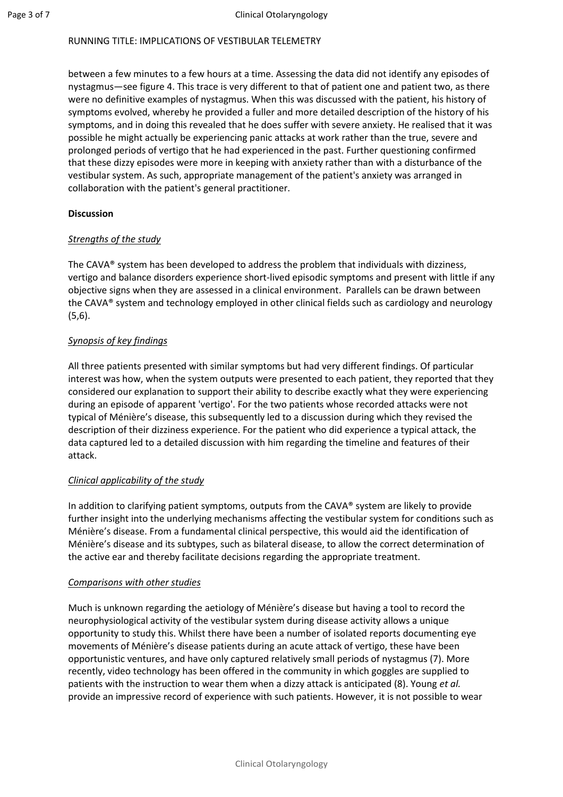between a few minutes to a few hours at a time. Assessing the data did not identify any episodes of nystagmus—see figure 4. This trace is very different to that of patient one and patient two, as there were no definitive examples of nystagmus. When this was discussed with the patient, his history of symptoms evolved, whereby he provided a fuller and more detailed description of the history of his symptoms, and in doing this revealed that he does suffer with severe anxiety. He realised that it was possible he might actually be experiencing panic attacks at work rather than the true, severe and prolonged periods of vertigo that he had experienced in the past. Further questioning confirmed that these dizzy episodes were more in keeping with anxiety rather than with a disturbance of the vestibular system. As such, appropriate management of the patient's anxiety was arranged in collaboration with the patient's general practitioner.

## **Discussion**

## *Strengths of the study*

The CAVA® system has been developed to address the problem that individuals with dizziness, vertigo and balance disorders experience short-lived episodic symptoms and present with little if any objective signs when they are assessed in a clinical environment. Parallels can be drawn between the CAVA® system and technology employed in other clinical fields such as cardiology and neurology (5,6).

## *Synopsis of key findings*

All three patients presented with similar symptoms but had very different findings. Of particular interest was how, when the system outputs were presented to each patient, they reported that they considered our explanation to support their ability to describe exactly what they were experiencing during an episode of apparent 'vertigo'. For the two patients whose recorded attacks were not typical of Ménière's disease, this subsequently led to a discussion during which they revised the description of their dizziness experience. For the patient who did experience a typical attack, the data captured led to a detailed discussion with him regarding the timeline and features of their attack.

# *Clinical applicability of the study*

In addition to clarifying patient symptoms, outputs from the CAVA® system are likely to provide further insight into the underlying mechanisms affecting the vestibular system for conditions such as Ménière's disease. From a fundamental clinical perspective, this would aid the identification of Ménière's disease and its subtypes, such as bilateral disease, to allow the correct determination of the active ear and thereby facilitate decisions regarding the appropriate treatment.

#### *Comparisons with other studies*

Much is unknown regarding the aetiology of Ménière's disease but having a tool to record the neurophysiological activity of the vestibular system during disease activity allows a unique opportunity to study this. Whilst there have been a number of isolated reports documenting eye movements of Ménière's disease patients during an acute attack of vertigo, these have been opportunistic ventures, and have only captured relatively small periods of nystagmus (7). More recently, video technology has been offered in the community in which goggles are supplied to patients with the instruction to wear them when a dizzy attack is anticipated (8). Young *et al.*  provide an impressive record of experience with such patients. However, it is not possible to wear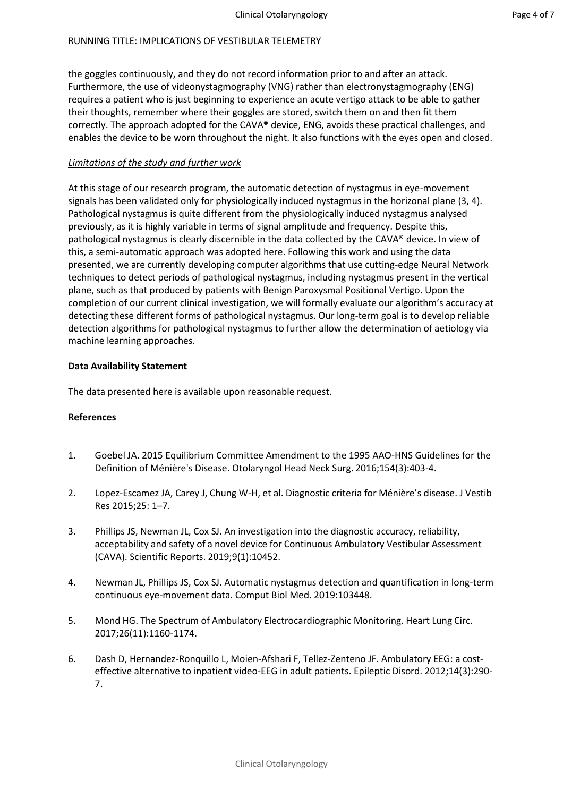the goggles continuously, and they do not record information prior to and after an attack. Furthermore, the use of videonystagmography (VNG) rather than electronystagmography (ENG) requires a patient who is just beginning to experience an acute vertigo attack to be able to gather their thoughts, remember where their goggles are stored, switch them on and then fit them correctly. The approach adopted for the CAVA® device, ENG, avoids these practical challenges, and enables the device to be worn throughout the night. It also functions with the eyes open and closed.

# *Limitations of the study and further work*

At this stage of our research program, the automatic detection of nystagmus in eye-movement signals has been validated only for physiologically induced nystagmus in the horizonal plane (3, 4). Pathological nystagmus is quite different from the physiologically induced nystagmus analysed previously, as it is highly variable in terms of signal amplitude and frequency. Despite this, pathological nystagmus is clearly discernible in the data collected by the CAVA® device. In view of this, a semi-automatic approach was adopted here. Following this work and using the data presented, we are currently developing computer algorithms that use cutting-edge Neural Network techniques to detect periods of pathological nystagmus, including nystagmus present in the vertical plane, such as that produced by patients with Benign Paroxysmal Positional Vertigo. Upon the completion of our current clinical investigation, we will formally evaluate our algorithm's accuracy at detecting these different forms of pathological nystagmus. Our long-term goal is to develop reliable detection algorithms for pathological nystagmus to further allow the determination of aetiology via machine learning approaches.

# **Data Availability Statement**

The data presented here is available upon reasonable request.

# **References**

- 1. Goebel JA. 2015 Equilibrium Committee Amendment to the 1995 AAO-HNS Guidelines for the Definition of Ménière's Disease. Otolaryngol Head Neck Surg. 2016;154(3):403-4.
- 2. Lopez-Escamez JA, Carey J, Chung W-H, et al. Diagnostic criteria for Ménière's disease. J Vestib Res 2015;25: 1–7.
- 3. Phillips JS, Newman JL, Cox SJ. An investigation into the diagnostic accuracy, reliability, acceptability and safety of a novel device for Continuous Ambulatory Vestibular Assessment (CAVA). Scientific Reports. 2019;9(1):10452.
- 4. Newman JL, Phillips JS, Cox SJ. Automatic nystagmus detection and quantification in long-term continuous eye-movement data. Comput Biol Med. 2019:103448.
- 5. Mond HG. The Spectrum of Ambulatory Electrocardiographic Monitoring. Heart Lung Circ. 2017;26(11):1160-1174.
- 6. Dash D, Hernandez-Ronquillo L, Moien-Afshari F, Tellez-Zenteno JF. Ambulatory EEG: a costeffective alternative to inpatient video-EEG in adult patients. Epileptic Disord. 2012;14(3):290- 7.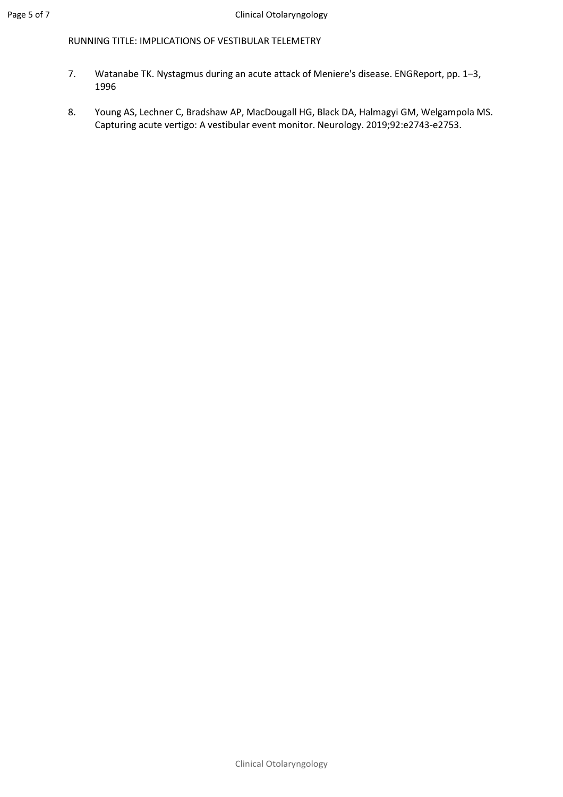- 7. Watanabe TK. Nystagmus during an acute attack of Meniere's disease. ENGReport, pp. 1–3, 1996
- 8. Young AS, Lechner C, Bradshaw AP, MacDougall HG, Black DA, Halmagyi GM, Welgampola MS. Capturing acute vertigo: A vestibular event monitor. Neurology. 2019;92:e2743-e2753.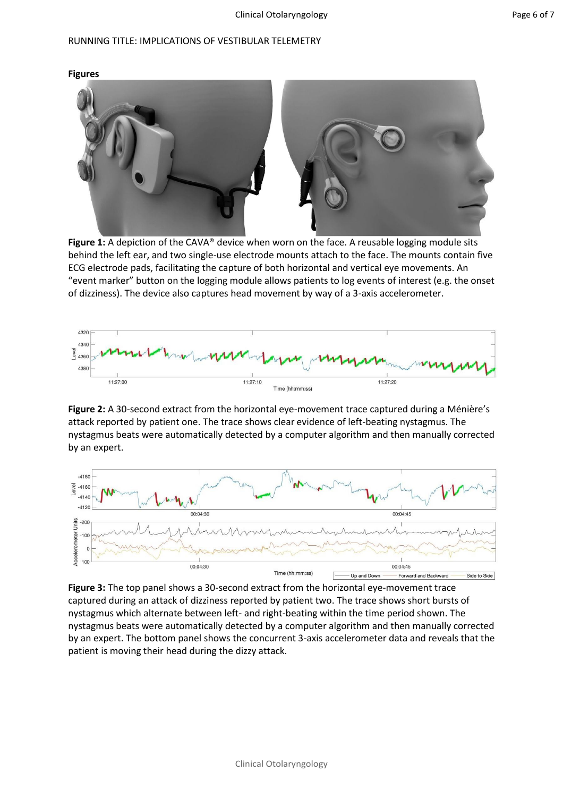



Figure 1: A depiction of the CAVA® device when worn on the face. A reusable logging module sits behind the left ear, and two single-use electrode mounts attach to the face. The mounts contain five ECG electrode pads, facilitating the capture of both horizontal and vertical eye movements. An "event marker" button on the logging module allows patients to log events of interest (e.g. the onset of dizziness). The device also captures head movement by way of a 3-axis accelerometer.



**Figure 2:** A 30-second extract from the horizontal eye-movement trace captured during a Ménière's attack reported by patient one. The trace shows clear evidence of left-beating nystagmus. The nystagmus beats were automatically detected by a computer algorithm and then manually corrected by an expert.



**Figure 3:** The top panel shows a 30-second extract from the horizontal eye-movement trace captured during an attack of dizziness reported by patient two. The trace shows short bursts of nystagmus which alternate between left- and right-beating within the time period shown. The nystagmus beats were automatically detected by a computer algorithm and then manually corrected by an expert. The bottom panel shows the concurrent 3-axis accelerometer data and reveals that the patient is moving their head during the dizzy attack.